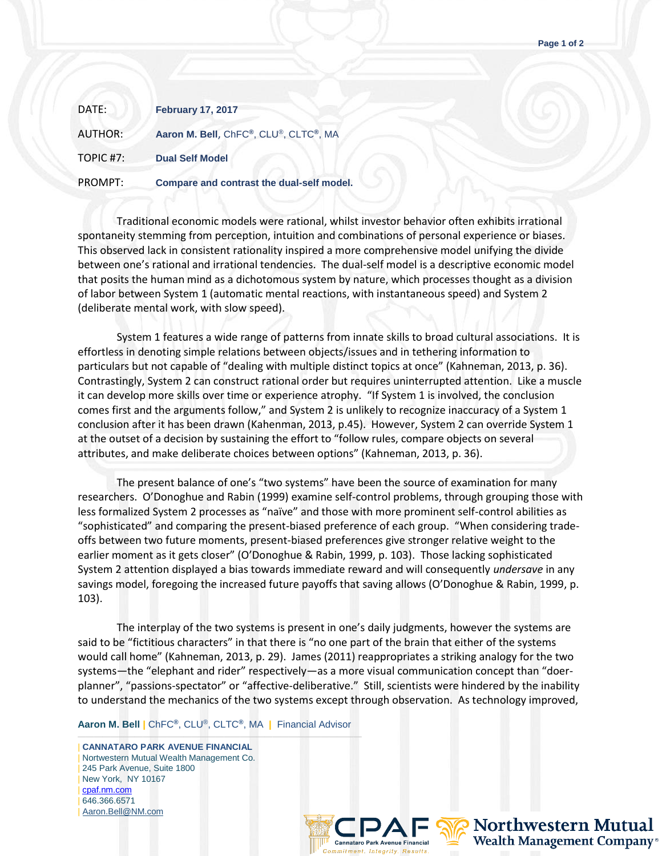| DATE:          | <b>February 17, 2017</b>                  |
|----------------|-------------------------------------------|
| <b>AUTHOR:</b> | Aaron M. Bell, ChFC®, CLU®, CLTC®, MA     |
| TOPIC #7:      | <b>Dual Self Model</b>                    |
| PROMPT:        | Compare and contrast the dual-self model. |

Traditional economic models were rational, whilst investor behavior often exhibits irrational spontaneity stemming from perception, intuition and combinations of personal experience or biases. This observed lack in consistent rationality inspired a more comprehensive model unifying the divide between one's rational and irrational tendencies. The dual-self model is a descriptive economic model that posits the human mind as a dichotomous system by nature, which processes thought as a division of labor between System 1 (automatic mental reactions, with instantaneous speed) and System 2 (deliberate mental work, with slow speed).

System 1 features a wide range of patterns from innate skills to broad cultural associations. It is effortless in denoting simple relations between objects/issues and in tethering information to particulars but not capable of "dealing with multiple distinct topics at once" (Kahneman, 2013, p. 36). Contrastingly, System 2 can construct rational order but requires uninterrupted attention. Like a muscle it can develop more skills over time or experience atrophy. "If System 1 is involved, the conclusion comes first and the arguments follow," and System 2 is unlikely to recognize inaccuracy of a System 1 conclusion after it has been drawn (Kahenman, 2013, p.45). However, System 2 can override System 1 at the outset of a decision by sustaining the effort to "follow rules, compare objects on several attributes, and make deliberate choices between options" (Kahneman, 2013, p. 36).

The present balance of one's "two systems" have been the source of examination for many researchers. O'Donoghue and Rabin (1999) examine self-control problems, through grouping those with less formalized System 2 processes as "naïve" and those with more prominent self-control abilities as "sophisticated" and comparing the present-biased preference of each group. "When considering tradeoffs between two future moments, present-biased preferences give stronger relative weight to the earlier moment as it gets closer" (O'Donoghue & Rabin, 1999, p. 103). Those lacking sophisticated System 2 attention displayed a bias towards immediate reward and will consequently *undersave* in any savings model, foregoing the increased future payoffs that saving allows (O'Donoghue & Rabin, 1999, p. 103).

The interplay of the two systems is present in one's daily judgments, however the systems are said to be "fictitious characters" in that there is "no one part of the brain that either of the systems would call home" (Kahneman, 2013, p. 29). James (2011) reappropriates a striking analogy for the two systems—the "elephant and rider" respectively—as a more visual communication concept than "doerplanner", "passions-spectator" or "affective-deliberative." Still, scientists were hindered by the inability to understand the mechanics of the two systems except through observation. As technology improved,

## **Aaron M. Bell |** ChFC**®**, CLU®, CLTC**®**, MA **|** Financial Advisor

——————————————————————————————————— | **CANNATARO PARK AVENUE FINANCIAL** | Nortwestern Mutual Wealth Management Co. 245 Park Avenue, Suite 1800 | New York, NY 10167 [cpaf.nm.com](http://www.cpaf.nm.com/) | 646.366.6571 [Aaron.Bell@NM.com](mailto:Aaron.Bell@NM.com)